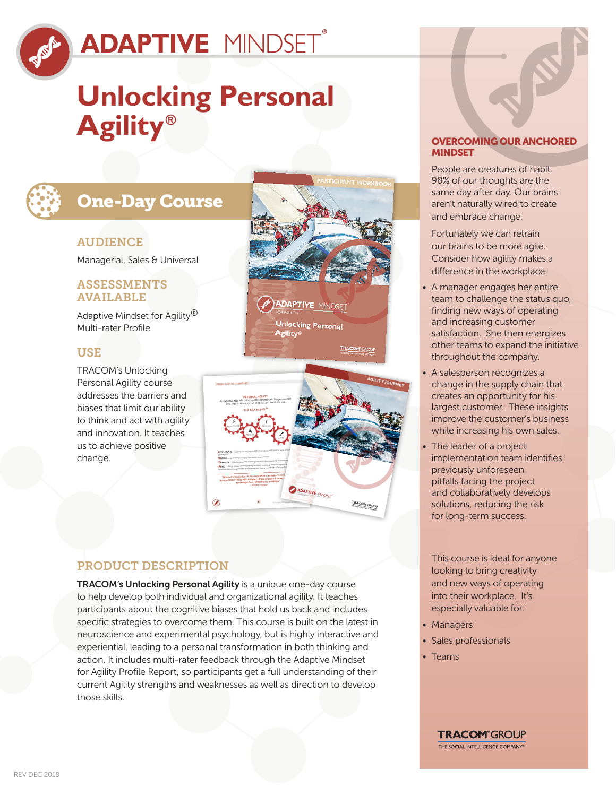

# **Unlocking Personal Agility®**

### One-Day Course

#### **AUDIENCE**

Managerial, Sales & Universal

#### ASSESSMENTS AVAILABLE

Adaptive Mindset for Agility<sup>®</sup> Multi-rater Profile

#### **USE**

TRACOM's Unlocking Personal Agility course addresses the barriers and biases that limit our ability to think and act with agility and innovation. It teaches us to achieve positive change.





### PRODUCT DESCRIPTION

TRACOM's Unlocking Personal Agility is a unique one-day course to help develop both individual and organizational agility. It teaches participants about the cognitive biases that hold us back and includes specific strategies to overcome them. This course is built on the latest in neuroscience and experimental psychology, but is highly interactive and experiential, leading to a personal transformation in both thinking and action. It includes multi-rater feedback through the Adaptive Mindset for Agility Profile Report, so participants get a full understanding of their current Agility strengths and weaknesses as well as direction to develop those skills.

### OVERCOMING OUR ANCHORED MINDSET

People are creatures of habit. 98% of our thoughts are the same day after day. Our brains aren't naturally wired to create and embrace change.

Fortunately we can retrain our brains to be more agile. Consider how agility makes a difference in the workplace:

- A manager engages her entire team to challenge the status quo, finding new ways of operating and increasing customer satisfaction. She then energizes other teams to expand the initiative throughout the company.
- A salesperson recognizes a change in the supply chain that creates an opportunity for his largest customer. These insights improve the customer's business while increasing his own sales.
- The leader of a project implementation team identifies previously unforeseen pitfalls facing the project and collaboratively develops solutions, reducing the risk for long-term success.

This course is ideal for anyone looking to bring creativity and new ways of operating into their workplace. It's especially valuable for:

- Managers
- Sales professionals
- Teams

**TRACOM**<sup>®</sup>GROUP THE SOCIAL INTELLIGENCE COMPANY®